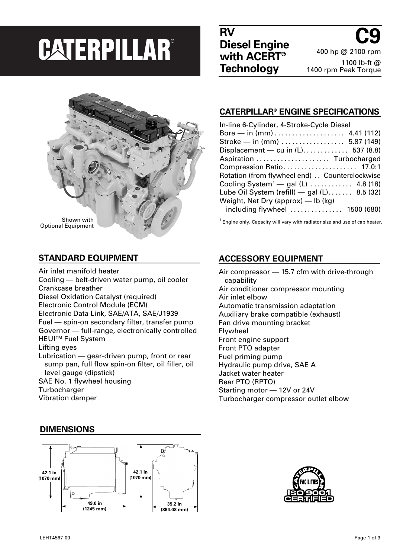# **CATERPILLAR®**

**RV Diesel Engine with ACERT® Technology**

**C9** 400 hp @ 2100 rpm 1100 lb-ft @ 1400 rpm Peak Torque



### **STANDARD EQUIPMENT**

Air inlet manifold heater Cooling — belt-driven water pump, oil cooler Crankcase breather Diesel Oxidation Catalyst (required) Electronic Control Module (ECM) Electronic Data Link, SAE/ATA, SAE/J1939 Fuel — spin-on secondary filter, transfer pump Governor — full-range, electronically controlled HEUI™ Fuel System Lifting eyes Lubrication — gear-driven pump, front or rear sump pan, full flow spin-on filter, oil filler, oil level gauge (dipstick) SAE No. 1 flywheel housing **Turbocharger** 

### **CATERPILLAR® ENGINE SPECIFICATIONS** In-line 6-Cylinder, 4-Stroke-Cycle Diesel

| <u> III-IIIIG 0-CYIIIIUGI, 4-JUUNG-CYCIG DIGSGI</u>         |
|-------------------------------------------------------------|
|                                                             |
| Stroke — in $(mm)$ 5.87 (149)                               |
| Displacement - cu in $(L)$ 537 (8.8)                        |
| Aspiration  Turbocharged                                    |
| Compression Ratio 17.0:1                                    |
| Rotation (from flywheel end) Counterclockwise               |
| Cooling System <sup>1</sup> - gal (L) $\ldots$ 4.8 (18)     |
| Lube Oil System (refill) $-$ gal (L) 8.5 (32)               |
| Weight, Net Dry (approx) — lb (kg)                          |
| including flywheel $\ldots \ldots \ldots \ldots$ 1500 (680) |
|                                                             |

 $1$  Engine only. Capacity will vary with radiator size and use of cab heater.

# **ACCESSORY EQUIPMENT**

Air compressor — 15.7 cfm with drive-through capability Air conditioner compressor mounting Air inlet elbow Automatic transmission adaptation Auxiliary brake compatible (exhaust) Fan drive mounting bracket Flywheel Front engine support Front PTO adapter Fuel priming pump Hydraulic pump drive, SAE A Jacket water heater Rear PTO (RPTO) Starting motor — 12V or 24V Turbocharger compressor outlet elbow





# **DIMENSIONS**

Vibration damper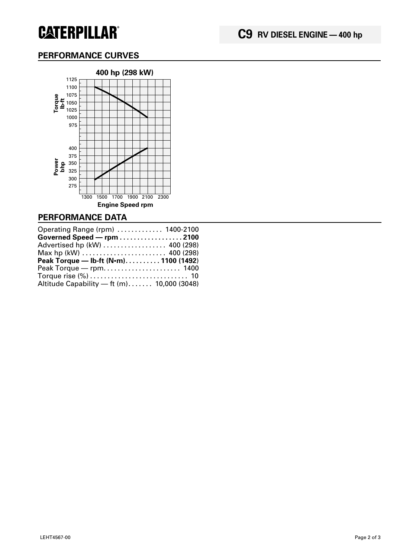# **CATERPILLAR®**

# **PERFORMANCE CURVES**



### **PERFORMANCE DATA**

| Operating Range (rpm)  1400-2100                                         |  |
|--------------------------------------------------------------------------|--|
| Governed Speed - rpm 2100                                                |  |
| Advertised hp (kW)  400 (298)                                            |  |
| Max hp (kW) $\ldots \ldots \ldots \ldots \ldots \ldots \ldots$ 400 (298) |  |
|                                                                          |  |
| Peak Torque — Ib-ft $(N \cdot m)$ 1100 (1492)                            |  |
|                                                                          |  |
|                                                                          |  |